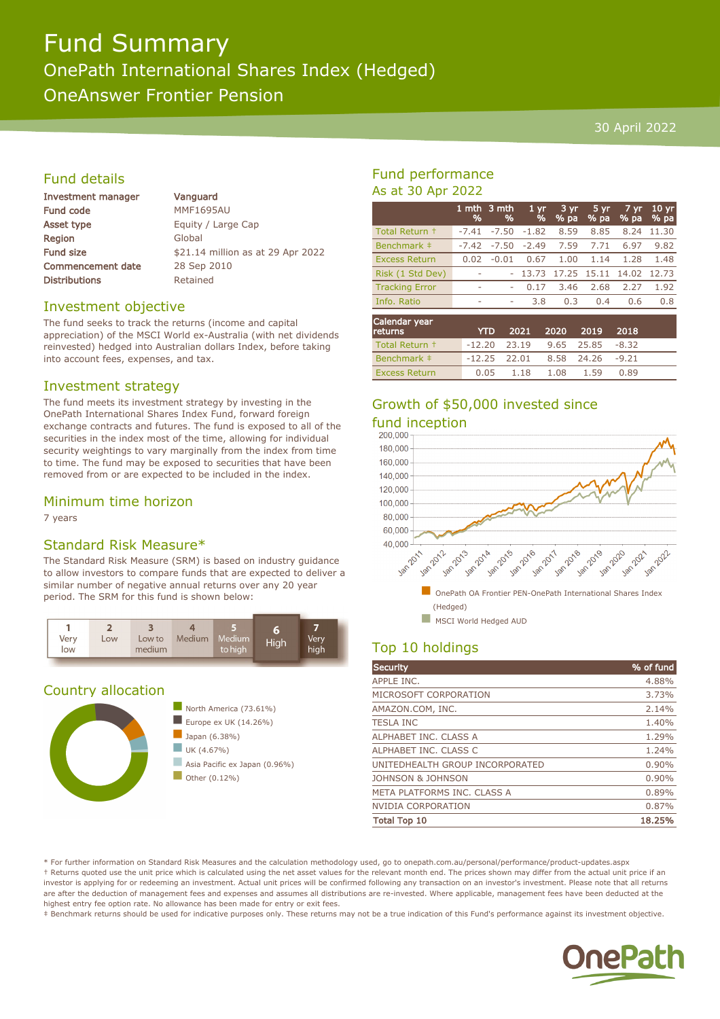# Fund Summary OnePath International Shares Index (Hedged) OneAnswer Frontier Pension

#### 30 April 2022

## Fund details

| Investment manager       |  |
|--------------------------|--|
| <b>Fund code</b>         |  |
| <b>Asset type</b>        |  |
| Region                   |  |
| <b>Fund size</b>         |  |
| <b>Commencement date</b> |  |
| <b>Distributions</b>     |  |

Vanguard **MMF1695AU** Equity / Large Cap Global \$21.14 million as at 29 Apr 2022 28 Sep 2010 Retained

#### Investment objective

The fund seeks to track the returns (income and capital appreciation) of the MSCI World ex-Australia (with net dividends reinvested) hedged into Australian dollars Index, before taking into account fees, expenses, and tax.

#### Investment strategy

The fund meets its investment strategy by investing in the OnePath International Shares Index Fund, forward foreign exchange contracts and futures. The fund is exposed to all of the securities in the index most of the time, allowing for individual security weightings to vary marginally from the index from time to time. The fund may be exposed to securities that have been removed from or are expected to be included in the index.

#### Minimum time horizon

7 years

#### Standard Risk Measure\*

The Standard Risk Measure (SRM) is based on industry guidance to allow investors to compare funds that are expected to deliver a similar number of negative annual returns over any 20 year period. The SRM for this fund is shown below:



#### Country allocation



## Fund performance As at 30 Apr 2022

|                       | %       | 1 mth $3$ mth<br>% | 1 <sub>yr</sub><br>% | 3 yr<br>% pa | $5 \, yr$<br>% pa | 7 yr<br>% pa | 10 <sub>yr</sub><br>% pa |
|-----------------------|---------|--------------------|----------------------|--------------|-------------------|--------------|--------------------------|
| Total Return +        | $-7.41$ | $-7.50$            | $-1.82$              | 8.59         | 8.85              | 8.24         | 11.30                    |
| Benchmark ‡           | $-7.42$ | $-7.50$            | $-2.49$              | 7.59         | 7.71              | 6.97         | 9.82                     |
| <b>Excess Return</b>  | 0.02    | $-0.01$            | 0.67                 | 1.00         | 1.14              | 1.28         | 1.48                     |
| Risk (1 Std Dev)      |         |                    | 13.73                | 17.25        | 15.11             | 14.02        | 12.73                    |
| <b>Tracking Error</b> | ۰       | ۰                  | 0.17                 | 3.46         | 2.68              | 2.27         | 1.92                     |
| Info. Ratio           | ۰       | ۰                  | 3.8                  | 0.3          | 0.4               | 0.6          | 0.8                      |
| Calendar year         |         |                    |                      |              |                   |              |                          |

| Calcilual year<br><b>returns</b> | <b>YTD</b>                              | 2021 2020 2019 2018               |  |      |  |
|----------------------------------|-----------------------------------------|-----------------------------------|--|------|--|
| Total Return +                   | $-12.20$ $23.19$ $9.65$ $25.85$ $-8.32$ |                                   |  |      |  |
| Benchmark ‡                      |                                         | $-12.25$ 22.01 8.58 24.26 $-9.21$ |  |      |  |
| <b>Excess Return</b>             |                                         | $0.05$ $1.18$ $1.08$ $1.59$       |  | 0.89 |  |

# Growth of \$50,000 invested since



## Top 10 holdings

| <b>Security</b>                 | % of fund |
|---------------------------------|-----------|
| APPLE INC.                      | 4.88%     |
| MICROSOFT CORPORATION           | 3.73%     |
| AMAZON.COM, INC.                | 2.14%     |
| <b>TESLA INC</b>                | 1.40%     |
| ALPHABET INC. CLASS A           | 1.29%     |
| ALPHABET INC. CLASS C           | 1.24%     |
| UNITEDHEALTH GROUP INCORPORATED | 0.90%     |
| <b>JOHNSON &amp; JOHNSON</b>    | 0.90%     |
| META PLATFORMS INC. CLASS A     | 0.89%     |
| <b>NVIDIA CORPORATION</b>       | 0.87%     |
| <b>Total Top 10</b>             | 18.25%    |

\* For further information on Standard Risk Measures and the calculation methodology used, go to onepath.com.au/personal/performance/product-updates.aspx † Returns quoted use the unit price which is calculated using the net asset values for the relevant month end. The prices shown may differ from the actual unit price if an investor is applying for or redeeming an investment. Actual unit prices will be confirmed following any transaction on an investor's investment. Please note that all returns are after the deduction of management fees and expenses and assumes all distributions are re-invested. Where applicable, management fees have been deducted at the highest entry fee option rate. No allowance has been made for entry or exit fees.

‡ Benchmark returns should be used for indicative purposes only. These returns may not be a true indication of this Fund's performance against its investment objective.